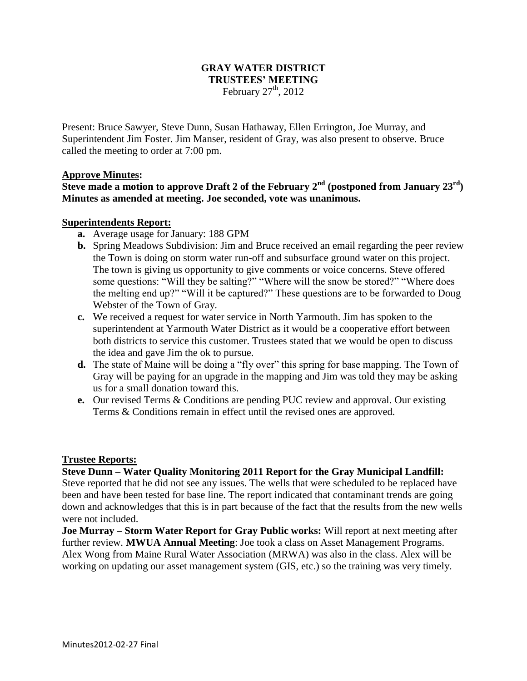# **GRAY WATER DISTRICT TRUSTEES' MEETING** February  $27<sup>th</sup>$ , 2012

Present: Bruce Sawyer, Steve Dunn, Susan Hathaway, Ellen Errington, Joe Murray, and Superintendent Jim Foster. Jim Manser, resident of Gray, was also present to observe. Bruce called the meeting to order at 7:00 pm.

#### **Approve Minutes:**

# **Steve** made a motion to approve Draft 2 of the February  $2^{nd}$  (postponed from January  $23^{rd}$ ) **Minutes as amended at meeting. Joe seconded, vote was unanimous.**

#### **Superintendents Report:**

- **a.** Average usage for January: 188 GPM
- **b.** Spring Meadows Subdivision: Jim and Bruce received an email regarding the peer review the Town is doing on storm water run-off and subsurface ground water on this project. The town is giving us opportunity to give comments or voice concerns. Steve offered some questions: "Will they be salting?" "Where will the snow be stored?" "Where does the melting end up?" "Will it be captured?" These questions are to be forwarded to Doug Webster of the Town of Gray.
- **c.** We received a request for water service in North Yarmouth. Jim has spoken to the superintendent at Yarmouth Water District as it would be a cooperative effort between both districts to service this customer. Trustees stated that we would be open to discuss the idea and gave Jim the ok to pursue.
- **d.** The state of Maine will be doing a "fly over" this spring for base mapping. The Town of Gray will be paying for an upgrade in the mapping and Jim was told they may be asking us for a small donation toward this.
- **e.** Our revised Terms & Conditions are pending PUC review and approval. Our existing Terms & Conditions remain in effect until the revised ones are approved.

#### **Trustee Reports:**

**Steve Dunn – Water Quality Monitoring 2011 Report for the Gray Municipal Landfill:**  Steve reported that he did not see any issues. The wells that were scheduled to be replaced have been and have been tested for base line. The report indicated that contaminant trends are going down and acknowledges that this is in part because of the fact that the results from the new wells were not included.

**Joe Murray – Storm Water Report for Gray Public works:** Will report at next meeting after further review. **MWUA Annual Meeting**: Joe took a class on Asset Management Programs. Alex Wong from Maine Rural Water Association (MRWA) was also in the class. Alex will be working on updating our asset management system (GIS, etc.) so the training was very timely.